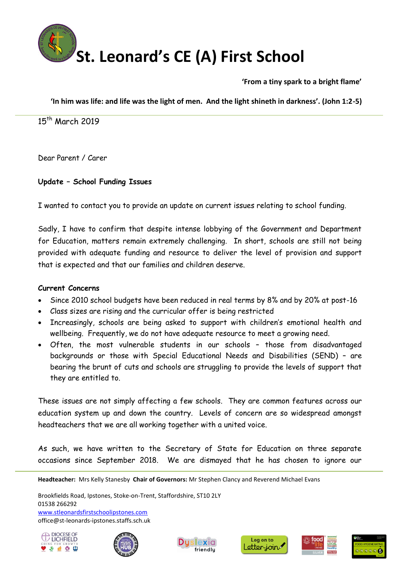

**'From a tiny spark to a bright flame'**

**'In him was life: and life was the light of men. And the light shineth in darkness'. (John 1:2-5)**

15<sup>th</sup> March 2019

Dear Parent / Carer

## **Update – School Funding Issues**

I wanted to contact you to provide an update on current issues relating to school funding.

Sadly, I have to confirm that despite intense lobbying of the Government and Department for Education, matters remain extremely challenging. In short, schools are still not being provided with adequate funding and resource to deliver the level of provision and support that is expected and that our families and children deserve.

## **Current Concerns**

- Since 2010 school budgets have been reduced in real terms by 8% and by 20% at post-16
- Class sizes are rising and the curricular offer is being restricted
- Increasingly, schools are being asked to support with children's emotional health and wellbeing. Frequently, we do not have adequate resource to meet a growing need.
- Often, the most vulnerable students in our schools those from disadvantaged backgrounds or those with Special Educational Needs and Disabilities (SEND) – are bearing the brunt of cuts and schools are struggling to provide the levels of support that they are entitled to.

These issues are not simply affecting a few schools. They are common features across our education system up and down the country. Levels of concern are so widespread amongst headteachers that we are all working together with a united voice.

As such, we have written to the Secretary of State for Education on three separate occasions since September 2018. We are dismayed that he has chosen to ignore our

**Headteacher:** Mrs Kelly Stanesby **Chair of Governors:** Mr Stephen Clancy and Reverend Michael Evans

Brookfields Road, Ipstones, Stoke-on-Trent, Staffordshire, ST10 2LY 01538 266292 www.stleonardsfirstschoolipstones.com office@st-leonards-ipstones.staffs.sch.uk











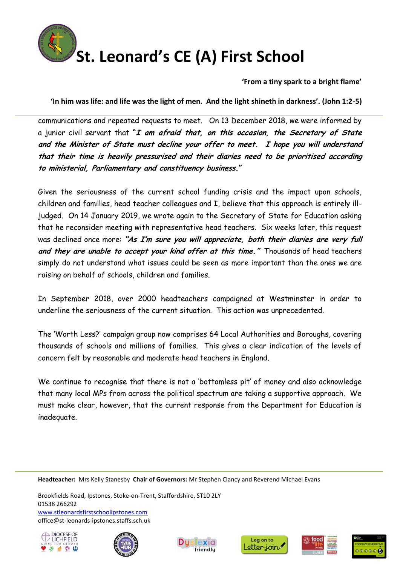

## **St. Leonard's CE (A) First School**

**'From a tiny spark to a bright flame'**

**'In him was life: and life was the light of men. And the light shineth in darkness'. (John 1:2-5)**

communications and repeated requests to meet. On 13 December 2018, we were informed by a junior civil servant that **"I am afraid that, on this occasion, the Secretary of State and the Minister of State must decline your offer to meet. I hope you will understand that their time is heavily pressurised and their diaries need to be prioritised according to ministerial, Parliamentary and constituency business."**

Given the seriousness of the current school funding crisis and the impact upon schools, children and families, head teacher colleagues and I, believe that this approach is entirely illjudged. On 14 January 2019, we wrote again to the Secretary of State for Education asking that he reconsider meeting with representative head teachers. Six weeks later, this request was declined once more: **"As I'm sure you will appreciate, both their diaries are very full and they are unable to accept your kind offer at this time."** Thousands of head teachers simply do not understand what issues could be seen as more important than the ones we are raising on behalf of schools, children and families.

In September 2018, over 2000 headteachers campaigned at Westminster in order to underline the seriousness of the current situation. This action was unprecedented.

The 'Worth Less?' campaign group now comprises 64 Local Authorities and Boroughs, covering thousands of schools and millions of families. This gives a clear indication of the levels of concern felt by reasonable and moderate head teachers in England.

We continue to recognise that there is not a 'bottomless pit' of money and also acknowledge that many local MPs from across the political spectrum are taking a supportive approach. We must make clear, however, that the current response from the Department for Education is inadequate.

**Headteacher:** Mrs Kelly Stanesby **Chair of Governors:** Mr Stephen Clancy and Reverend Michael Evans

Brookfields Road, Ipstones, Stoke-on-Trent, Staffordshire, ST10 2LY 01538 266292 www.stleonardsfirstschoolipstones.com office@st-leonards-ipstones.staffs.sch.uk